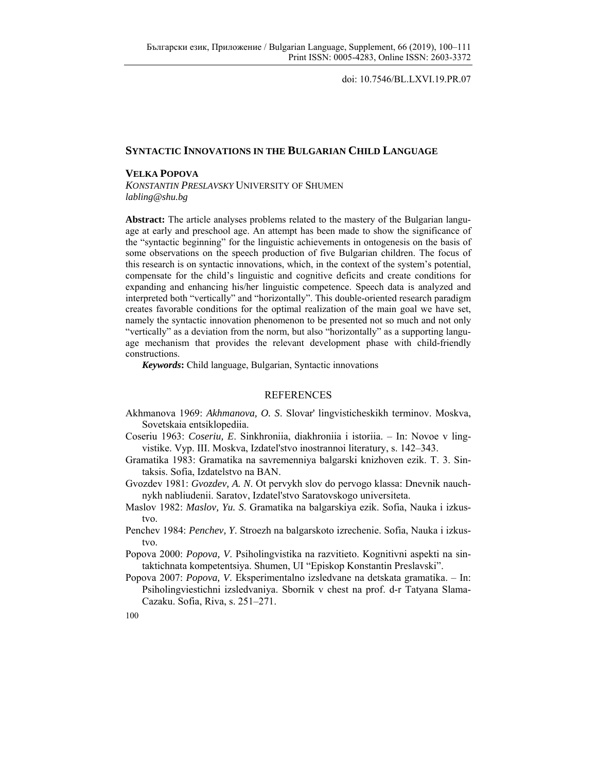doi: 10.7546/BL.LXVI.19.PR.07

## **SYNTACTIC INNOVATIONS IN THE BULGARIAN CHILD LANGUAGE**

## **VELKA POPOVA**

*KONSTANTIN PRESLAVSKY* UNIVERSITY OF SHUMEN *labling@shu.bg* 

**Abstract:** The article analyses problems related to the mastery of the Bulgarian language at early and preschool age. An attempt has been made to show the significance of the "syntactic beginning" for the linguistic achievements in ontogenesis on the basis of some observations on the speech production of five Bulgarian children. The focus of this research is on syntactic innovations, which, in the context of the system's potential, compensate for the child's linguistic and cognitive deficits and create conditions for expanding and enhancing his/her linguistic competence. Speech data is analyzed and interpreted both "vertically" and "horizontally". This double-oriented research paradigm creates favorable conditions for the optimal realization of the main goal we have set, namely the syntactic innovation phenomenon to be presented not so much and not only "vertically" as a deviation from the norm, but also "horizontally" as a supporting language mechanism that provides the relevant development phase with child-friendly constructions.

*Keywords***:** Child language, Bulgarian, Syntactic innovations

## REFERENCES

- Akhmanova 1969: *Akhmanova, O. S*. Slovar' lingvisticheskikh terminov. Moskva, Sovetskaia entsiklopediia.
- Coseriu 1963: *Coseriu, E*. Sinkhroniia, diakhroniia i istoriia. In: Novoe v lingvistike. Vyp. III. Moskva, Izdatel'stvo inostrannoi literatury, s. 142–343.
- Gramatika 1983: Gramatika na savremenniya balgarski knizhoven ezik. T. 3. Sintaksis. Sofia, Izdatelstvo na BAN.
- Gvozdev 1981: *Gvozdev, A. N*. Ot pervykh slov do pervogo klassa: Dnevnik nauchnykh nabliudenii. Saratov, Izdatel'stvo Saratovskogo universiteta.
- Maslov 1982: *Maslov, Yu. S*. Gramatika na balgarskiya ezik. Sofia, Nauka i izkustvo.
- Penchev 1984: *Penchev, Y*. Stroezh na balgarskoto izrechenie. Sofia, Nauka i izkustvo.
- Popova 2000: *Popova, V*. Psiholingvistika na razvitieto. Kognitivni aspekti na sintaktichnata kompetentsiya. Shumen, UI "Episkop Konstantin Preslavski".
- Popova 2007: *Popova, V*. Eksperimentalno izsledvane na detskata gramatika. In: Psiholingviestichni izsledvaniya. Sbornik v chest na prof. d-r Tatyana Slama-Cazaku. Sofia, Riva, s. 251–271.

<sup>100</sup>